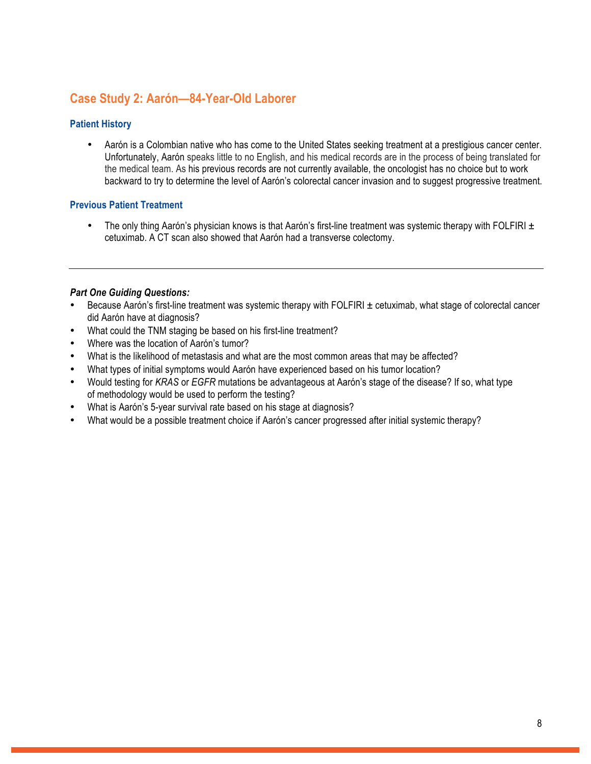# **Case Study 2: Aarón—84-Year-Old Laborer**

## **Patient History**

• Aarón is a Colombian native who has come to the United States seeking treatment at a prestigious cancer center. Unfortunately, Aarón speaks little to no English, and his medical records are in the process of being translated for the medical team. As his previous records are not currently available, the oncologist has no choice but to work backward to try to determine the level of Aarón's colorectal cancer invasion and to suggest progressive treatment.

### **Previous Patient Treatment**

• The only thing Aarón's physician knows is that Aarón's first-line treatment was systemic therapy with FOLFIRI  $\pm$ cetuximab. A CT scan also showed that Aarón had a transverse colectomy.

### *Part One Guiding Questions:*

- Because Aarón's first-line treatment was systemic therapy with FOLFIRI ± cetuximab, what stage of colorectal cancer did Aarón have at diagnosis?
- What could the TNM staging be based on his first-line treatment?
- Where was the location of Aarón's tumor?
- What is the likelihood of metastasis and what are the most common areas that may be affected?
- What types of initial symptoms would Aarón have experienced based on his tumor location?
- Would testing for *KRAS* or *EGFR* mutations be advantageous at Aarón's stage of the disease? If so, what type of methodology would be used to perform the testing?
- What is Aarón's 5-year survival rate based on his stage at diagnosis?
- What would be a possible treatment choice if Aarón's cancer progressed after initial systemic therapy?